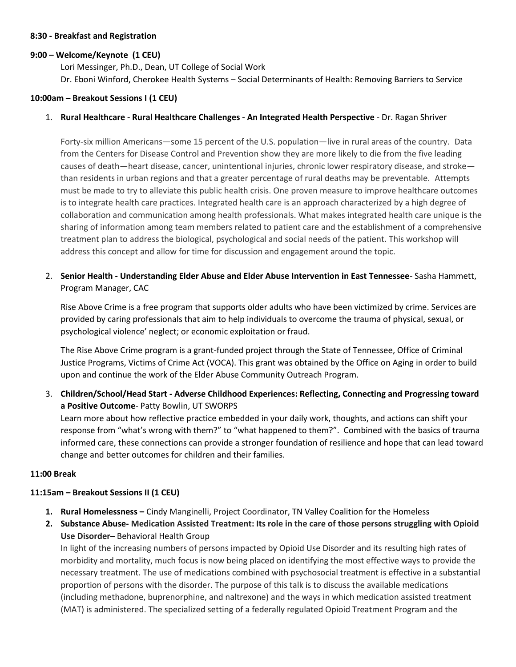#### **8:30 - Breakfast and Registration**

#### **9:00 – Welcome/Keynote (1 CEU)**

Lori Messinger, Ph.D., Dean, UT College of Social Work Dr. Eboni Winford, Cherokee Health Systems – Social Determinants of Health: Removing Barriers to Service

#### **10:00am – Breakout Sessions I (1 CEU)**

## 1. **Rural Healthcare - Rural Healthcare Challenges - An Integrated Health Perspective** - Dr. Ragan Shriver

Forty-six million Americans—some 15 percent of the U.S. population—live in rural areas of the country. Data from the Centers for Disease Control and Prevention show they are more likely to die from the five leading causes of death—heart disease, cancer, unintentional injuries, chronic lower respiratory disease, and stroke than residents in urban regions and that a greater percentage of rural deaths may be preventable. Attempts must be made to try to alleviate this public health crisis. One proven measure to improve healthcare outcomes is to integrate health care practices. Integrated health care is an approach characterized by a high degree of collaboration and communication among health professionals. What makes integrated health care unique is the sharing of information among team members related to patient care and the establishment of a comprehensive treatment plan to address the biological, psychological and social needs of the patient. This workshop will address this concept and allow for time for discussion and engagement around the topic.

2. **Senior Health - Understanding Elder Abuse and Elder Abuse Intervention in East Tennessee**- Sasha Hammett, Program Manager, CAC

Rise Above Crime is a free program that supports older adults who have been victimized by crime. Services are provided by caring professionals that aim to help individuals to overcome the trauma of physical, sexual, or psychological violence' neglect; or economic exploitation or fraud.

The Rise Above Crime program is a grant-funded project through the State of Tennessee, Office of Criminal Justice Programs, Victims of Crime Act (VOCA). This grant was obtained by the Office on Aging in order to build upon and continue the work of the Elder Abuse Community Outreach Program.

3. **Children/School/Head Start - Adverse Childhood Experiences: Reflecting, Connecting and Progressing toward a Positive Outcome**- Patty Bowlin, UT SWORPS

Learn more about how reflective practice embedded in your daily work, thoughts, and actions can shift your response from "what's wrong with them?" to "what happened to them?". Combined with the basics of trauma informed care, these connections can provide a stronger foundation of resilience and hope that can lead toward change and better outcomes for children and their families.

#### **11:00 Break**

# **11:15am – Breakout Sessions II (1 CEU)**

- **1. Rural Homelessness –** Cindy Manginelli, Project Coordinator, TN Valley Coalition for the Homeless
- **2. Substance Abuse- Medication Assisted Treatment: Its role in the care of those persons struggling with Opioid Use Disorder**– Behavioral Health Group

In light of the increasing numbers of persons impacted by Opioid Use Disorder and its resulting high rates of morbidity and mortality, much focus is now being placed on identifying the most effective ways to provide the necessary treatment. The use of medications combined with psychosocial treatment is effective in a substantial proportion of persons with the disorder. The purpose of this talk is to discuss the available medications (including methadone, buprenorphine, and naltrexone) and the ways in which medication assisted treatment (MAT) is administered. The specialized setting of a federally regulated Opioid Treatment Program and the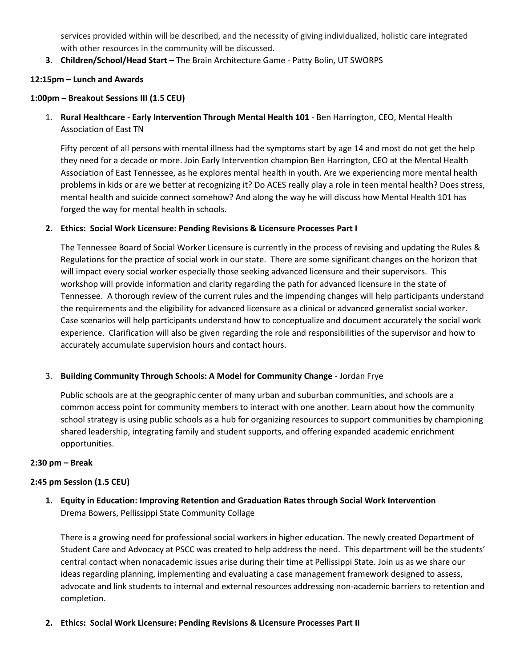services provided within will be described, and the necessity of giving individualized, holistic care integrated with other resources in the community will be discussed.

**3. Children/School/Head Start –** The Brain Architecture Game - Patty Bolin, UT SWORPS

## **12:15pm – Lunch and Awards**

# **1:00pm – Breakout Sessions III (1.5 CEU)**

1. **Rural Healthcare - Early Intervention Through Mental Health 101** - Ben Harrington, CEO, Mental Health Association of East TN

Fifty percent of all persons with mental illness had the symptoms start by age 14 and most do not get the help they need for a decade or more. Join Early Intervention champion Ben Harrington, CEO at the Mental Health Association of East Tennessee, as he explores mental health in youth. Are we experiencing more mental health problems in kids or are we better at recognizing it? Do ACES really play a role in teen mental health? Does stress, mental health and suicide connect somehow? And along the way he will discuss how Mental Health 101 has forged the way for mental health in schools.

#### **2. Ethics: Social Work Licensure: Pending Revisions & Licensure Processes Part I**

The Tennessee Board of Social Worker Licensure is currently in the process of revising and updating the Rules & Regulations for the practice of social work in our state. There are some significant changes on the horizon that will impact every social worker especially those seeking advanced licensure and their supervisors. This workshop will provide information and clarity regarding the path for advanced licensure in the state of Tennessee. A thorough review of the current rules and the impending changes will help participants understand the requirements and the eligibility for advanced licensure as a clinical or advanced generalist social worker. Case scenarios will help participants understand how to conceptualize and document accurately the social work experience. Clarification will also be given regarding the role and responsibilities of the supervisor and how to accurately accumulate supervision hours and contact hours.

#### 3. **Building Community Through Schools: A Model for Community Change** - Jordan Frye

Public schools are at the geographic center of many urban and suburban communities, and schools are a common access point for community members to interact with one another. Learn about how the community school strategy is using public schools as a hub for organizing resources to support communities by championing shared leadership, integrating family and student supports, and offering expanded academic enrichment opportunities.

#### **2:30 pm – Break**

#### **2:45 pm Session (1.5 CEU)**

**1. Equity in Education: Improving Retention and Graduation Rates through Social Work Intervention** Drema Bowers, Pellissippi State Community Collage

There is a growing need for professional social workers in higher education. The newly created Department of Student Care and Advocacy at PSCC was created to help address the need. This department will be the students' central contact when nonacademic issues arise during their time at Pellissippi State. Join us as we share our ideas regarding planning, implementing and evaluating a case management framework designed to assess, advocate and link students to internal and external resources addressing non-academic barriers to retention and completion.

#### **2. Ethics: Social Work Licensure: Pending Revisions & Licensure Processes Part II**